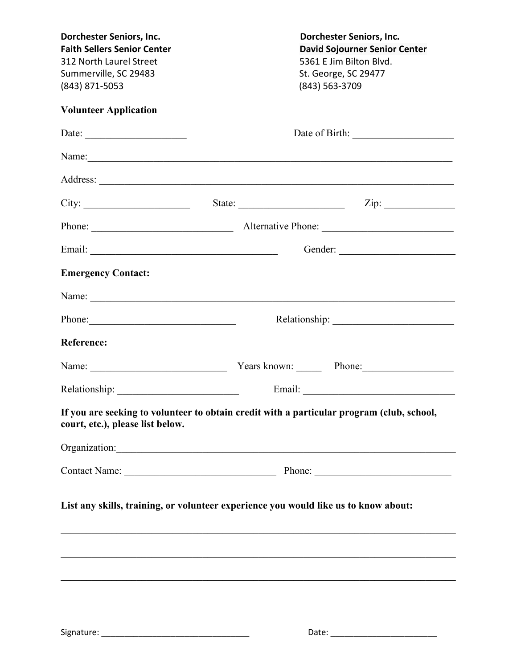| Dorchester Seniors, Inc.<br><b>Faith Sellers Senior Center</b><br>312 North Laurel Street<br>Summerville, SC 29483<br>(843) 871-5053                                                                                           | Dorchester Seniors, Inc.<br><b>David Sojourner Senior Center</b><br>5361 E Jim Bilton Blvd.<br>St. George, SC 29477<br>(843) 563-3709                                                                                          |  |  |
|--------------------------------------------------------------------------------------------------------------------------------------------------------------------------------------------------------------------------------|--------------------------------------------------------------------------------------------------------------------------------------------------------------------------------------------------------------------------------|--|--|
| <b>Volunteer Application</b>                                                                                                                                                                                                   |                                                                                                                                                                                                                                |  |  |
| Date:                                                                                                                                                                                                                          |                                                                                                                                                                                                                                |  |  |
|                                                                                                                                                                                                                                | Name: Name: Name: Name: Name: Name: Name: Name: Name: Name: Name: Name: Name: Name: Name: Name: Name: Name: Name: Name: Name: Name: Name: Name: Name: Name: Name: Name: Name: Name: Name: Name: Name: Name: Name: Name: Name:  |  |  |
|                                                                                                                                                                                                                                |                                                                                                                                                                                                                                |  |  |
| City:                                                                                                                                                                                                                          | State:                                                                                                                                                                                                                         |  |  |
|                                                                                                                                                                                                                                |                                                                                                                                                                                                                                |  |  |
|                                                                                                                                                                                                                                |                                                                                                                                                                                                                                |  |  |
| <b>Emergency Contact:</b>                                                                                                                                                                                                      |                                                                                                                                                                                                                                |  |  |
| Name: Name:                                                                                                                                                                                                                    |                                                                                                                                                                                                                                |  |  |
| Phone:                                                                                                                                                                                                                         |                                                                                                                                                                                                                                |  |  |
| <b>Reference:</b>                                                                                                                                                                                                              |                                                                                                                                                                                                                                |  |  |
|                                                                                                                                                                                                                                | Name: Name: Name: Phone: Phone: Phone: Phone: Phone: Phone: Phone: Phone: Phone: Phone: Phone: Phone: Phone: Phone: Phone: Phone: Phone: Phone: Phone: Phone: Phone: Phone: Phone: Phone: Phone: Phone: Phone: Phone: Phone: P |  |  |
|                                                                                                                                                                                                                                |                                                                                                                                                                                                                                |  |  |
| court, etc.), please list below.                                                                                                                                                                                               | If you are seeking to volunteer to obtain credit with a particular program (club, school,                                                                                                                                      |  |  |
| Organization: New York Channels and Channels and Channels and Channels and Channels and Channels and Channels and Channels and Channels and Channels and Channels and Channels and Channels and Channels and Channels and Chan |                                                                                                                                                                                                                                |  |  |
|                                                                                                                                                                                                                                |                                                                                                                                                                                                                                |  |  |
|                                                                                                                                                                                                                                | List any skills, training, or volunteer experience you would like us to know about:                                                                                                                                            |  |  |
|                                                                                                                                                                                                                                |                                                                                                                                                                                                                                |  |  |